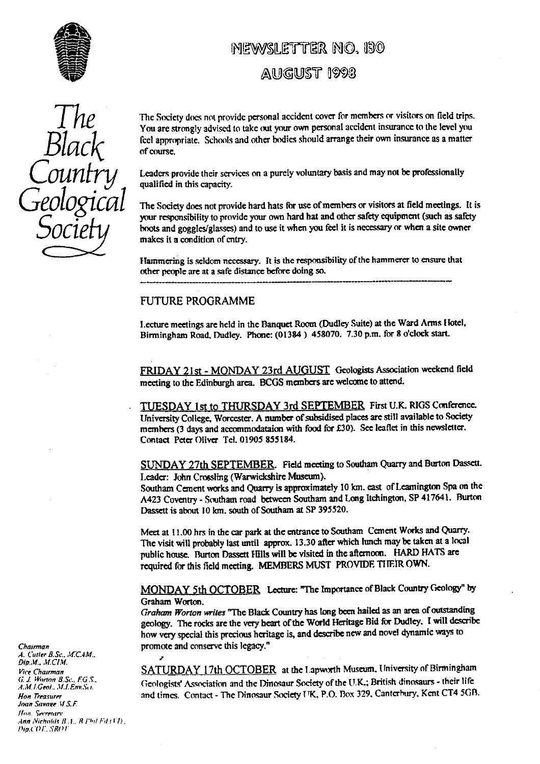

# MEWASI FITTER NO. 130

## AUGUST 1993

• Socie

The Society does not provide personal accident cover for members or visitors on field trips.<br>You are strongly advised to take out your own personal accident insurance to the level you feel appropriate. Schools and other bodies should arrange their own insurance as a matter of course.

**COUNTY** Leaders provide their services on a purely voluntary basis and may not be professionally qualified in this capacity.<br>The Society does not provide hard hats for use of members or visitors at field meetings. It is

your r**es**ponsibili**ty** to provide your own hard hat and other safety equipment (such as safety hoots and goggles/glasses) and to use it when you feel it is necessary or when a site owner makes it a condition of entry.

Flantmering is seldom necessary. It is the responsibility of the hammerer to ensure that other people are at a safe distance before doing so.

### FUTURE PROGRAMME

Lecture meetings are held in the Banquet Room (Dudley Suite) at the Ward Arms Hotel, Birmingham Road, Dudley. Phone: (01384) 458070. 7.30 p.m. for 8 o'clock start.

FRIDAY 21st - MONDAY 23rd AUGUST Geologists Association weekend field meeting to the Edinburgh area. BCGS members are welcome to attend.

TUESDAY 1st to THURSDAY 3rd SEPTEMBER First U.K. RIGS Conference. University College, Worcester. A number of subsidised places are still available to Society members (3 days and accommodataion with food for 130). See leaflet in this newsletter. Contact Peter Oliver Tel. 01905 855184.

SUNDAY 27th SEPTEMBER. Field meeting to Southam Quarry and Burton Dassett. Leader: John Crossling (Warwickshire Museum).

Southam Cement works and Quarry is approximately 10 km. east of Leamington Spa on the A423 Coventry - Southam road between Southam and Long Itchington, SP 417641. Burton Dassett is about 10 km. south of Southam at SP 395520.

Meet at 11.00 hrs in the car park at the entrance to Southam Cement Works and Quarry. The visit will probably last until approx. 13.30 after which lunch maybe taken at a local public house. Burton Dassett Hills will be visited in the afternoon. HARD HATS are required for this field meeting. MEMBERS MUST PROVIDE THEIR OWN.

**MONDAY** 5th OCTOBER Lecture: "The Importance of Black Country Geolog<sup>y</sup> " by Graham Worton.

*Graham Worton writes* "The Black Country has tong been hailed as an area of outstanding geology. The rocks are the ve**ry** heart of the World Heritage Bid for Dudley. I will describe how very special this precious heritage is, and describe new and novel dynamic ways to *Chairman* promote and conserve this legacy."

SATURDAY 17th OCTOBER at the Lapworth Museum. University of Birmingham Geologists' Association and the Dinosaur Society of the U.K.; British dinosaurs - their life *Hon Treasurer* and times. Contact - The Dinosaur Society I'K, P.O. Box 329, Canterbury, Kent CT4 5GB.

*A. Curler B.Sc.. JI-C.4M.. Dip.M., M.CIM.*<br>Vice Chairman (i. 1. *Worm. B.S*^•.. FG.s. Joan Savage V.S.F. *Ibin..SerreMn• •inn ,Virhnl,/r it. I.,* R /"rrl *id <sup>r</sup>*<sup>1</sup> 7) *!!ip.C()!'..1R(rrr*

Ź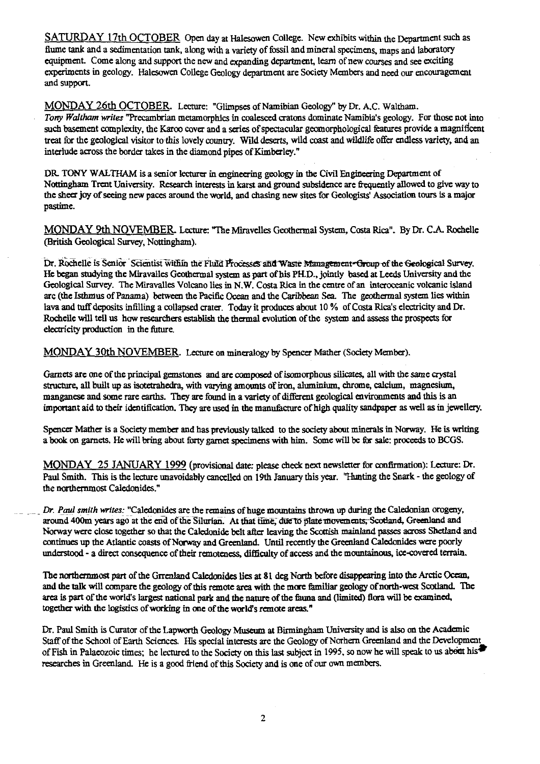SATURDAY 17th OCTOBER Open day at Halesowen College. New exhibits within the Department such as flume tank and a sedimentation tank, along with a variety of fossil and mineral specimens, maps and laboratory equipment. Come **al**ong and support the new and expanding department, learn of new courses and see exciting experiments in geology. Halesowen College Geology department are Society Members and need our encouragement and support.

**MONDAY** 26th **OCTOBER.** Lecture: "Glimpses of Namibian Geology" by Dr. A.C. Waltham. *Tony Waltham writes* "Precambrian metamorphics in coalesced cratons **dominate** Namibia's geology. For those not into such basement complexity, the Karoo cover and a series of spectacular geomorphological features provide a magnificent treat for the geological visitor to this lovely country. Wild deserts, wild coast and wildlife offer endless variety, and an interlude across the border takes in the diamond pipes of Kimberley."

DR TONY WALTHAM is a senior lecturer in engineering geology in the Civil Engineering Department of Nottingham Trent University. Research interests in karst and ground subsidence are frequently allowed to give way to the sheer joy of seeing new paces around the world, and chasing new sites for Geologists' Association tours is a major pastime.

MQNOAY 9th NOVEMBER Lecture: "The Miravelles Geothermal System, Costa Rica". By Dr. C.A. Rochelle (British Geological Survey, Nottingham).

Dr. Rochelle is Senior Scientist within the FluId Processes and Waste Management-Group of the Geological Survey. He began studying the Miravalles Geothermal system as part of his PH.D., jointly based at Leeds University and the Geological Survey. The Miravalles Volcano lies in N.W. Costa Rica in the centre of an interoceanic volcanic island arc (the Isthmus of Panama) between the Pacific Ocean and the Caribbean Sea. The geothermal system lies within lava and tuff deposits inflling a collapsed crater. Today it produces about 10 % of Costa Rica's electricity and Dr. Rochelle will tell us how researchers establish the thermal evolution of the system and assess the prospects for electricity production in the future.

MONDAY 30th NOVEMBER. Lecture on mineralogy by Spencer Mather (Society Member).

Garnets are one of the principal gemstones and are composed of isomorphous silicates, all with the same crystal structure, all built up as isotetrahedra, with varying amounts of iron, aluminium, chrome, calcium, magnesium, manganese and some rare earths. They are found in a variety of different geological environments and this is an important aid to their identification. They are used in the manufacture of high quality sandpaper as well as in jewellery.

Spencer Mather is a Society member and has previously talked to the society about minerals in Norway. He is writing a book on garnets. He will bring about forty garnet specimens with him. Some will be for sale: proceeds to BCGS.

MONDAY 25 JANUARY 1999 (provisional date: please check next newsletter for confirmation): Lecture: Dr. Paul Smith. This is the lecture unavoidably cancelled on 19th January this year. "Hunting the Snark - the geology of the northernmost Caledonides."

- *Dr. Paul smith writes:* "Caledonides are the remains of huge mountains thrown up during the Caledonian orogeny, around 400m years ago at the end of the Silurian. At that time, due to plate movements, Scotland, Greenland and Norway were close together so that the Caledonide belt after leaving the Scottish mainland passes across Shetland and continues up the Atlantic coasts of Norway and Greenland. Until recently the Greenland Caledonides were poorly understood - a direct consequence of their remoteness, difficulty of access and the mountainous, ice-covered terrain.

The northernmost part of the Grrenland Caledonides lies at **8** 1 deg North before disappearing into the Arctic Ocean, and the talk will compare the geology of this remote area with the more familiar geology of north-west Scotland. The area is part of the world's largest national park and the nature of the fauna and (limited) flora will be examined, together with the logistics of working in one of the world's remote areas."

Dr. Paul Smith is Curator of the Lapworth Geology Museum at Birmingham University and is also on the Academic Staff of the School of Earth Sciences. His special interests are the Geology of Norhera Greenland and the Development of Fish in Palaeozoic times; he lectured to the Socie**ty** on this last subject in 1995, so now he will speak to us abet his researches in Greenland. He is a good friend of this Society and is one of our own members.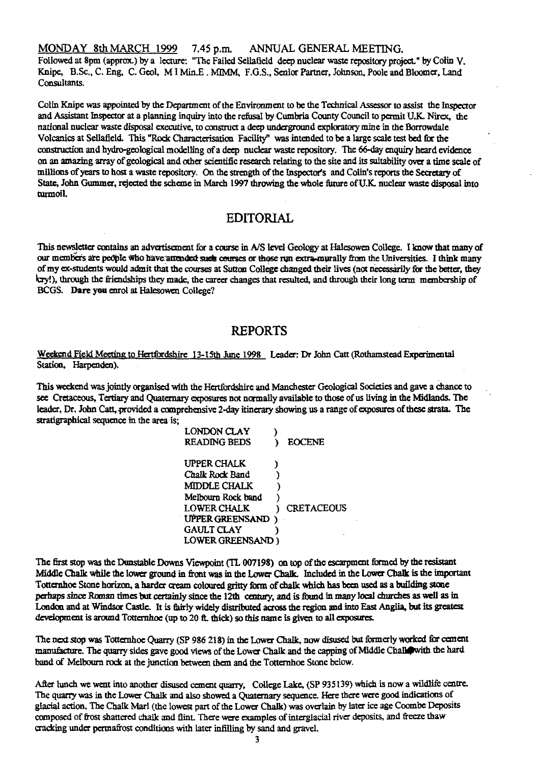MONDAY 8th MARCH 1999 7.45 p.m. ANNUAL GENERAL MEETING.

Followed at 8pm (approx.) by a lecture: "The Failed Sellafield deep nuclear waste repository project." by Colin V. Knipe, B.Sc., C. Eng, C. Geol, M I Min.E. MIMM, F.G.S., Senior Partner, Johnson, Poole and Bloomer, Land Consultants.

Colin Knipe was appointed by the Department of the Environment to be the Technical Assessor to assist the Inspector and Assistant Inspector at a planning inquiry into the refusal by Cumbria County Council to permit U.K. Nirex, the national nuclear waste disposal executive, to construct a deep underground exploratory mine in the Borrowdale Votcanics at Seliafeld. This "Rock Characterisation Facility" was intended to be a large scale test bed for the construction and hydro-geological modelling of a deep nuclear waste repository. The 66-day enquiry heard evidence on an amazing array of geological and other scientific research relating to the site and its suitability over a time scale of millions of years to host a waste repository. On the strength of the Inspector's and Colin's reports the Secretary of State, John Gummcr, rejected the scheme in March 1997 throwing the whole future of U.K. nuclear waste disposal into turmoil.

### **EDITORIAL**

This newsletter contains an advertisement for a course in A/S level Geology at Halesowen College. I know that many of our members are people who have attended such courses or those run extra-murally from the Universities. I think many of my ex students would admit that the courses at Sutton College changed their lives (not necessarily for the better, they dry!), through the friendships they made, the career changes that resulted, and through their long term membership of BCGS. **Dare you** enrol at Halesowen College?

## **REPORTS**

Weekend Field Meeting to Hertfordshire 13-15th June 1998 Leader: Dr John Catt (Rothamstead Experimental Station, Harpenden).

This weekend was jointly organised with the Hertfordshire and Manchester Geological Societies and gave a chance to see Cretaceous, Tertiary and Quaternary exposures not normally available to those of us living in the Midlands. The leader, Dr. John Catt, provided a comprehensive 2-day itinerary showing us a range of exposures of these strata. The stratigraphical sequence in the area is;

| LONDON CLAY         |               |
|---------------------|---------------|
| <b>READING BEDS</b> | <b>EOCENE</b> |
| UPPER CHALK         |               |
| Chalk Rock Band     |               |
| MIDDLE CHALK        |               |
| Melbourn Rock band  |               |
| <b>LOWER CHALK</b>  | CRETACEOUS    |
| UPPER GREENSAND)    |               |
| <b>GAULT CLAY</b>   |               |
| LOWER GREENSAND)    |               |
|                     |               |

**The** first stop was the **Dunstable Downs Viewpoint** (TL 007198) on top of the **escarpment formed by the resistant Middle Chalk while the lower ground in front was in the Lower Chalk. Included in** the Lower Chalk is the important Totternhoe Stone horizon, a harder eream coloured gritty farm of chalk which has been used as a building stone perhaps since Roman times but certainly since the 12th century, and is found in many local churches as well as in London and at Windsor Castle. It is fairly widely distributed across the region and into East Anglia, but its greatest development is around Totternhoe (up to 20 ft. thick) so this name is given to all exposures.

The next stop was Totternhoe Quarry (SP 986 218) in the Lower Chalk, now disused but formerly worked for cement manufacture. The quarry sides gave good views of the Lower Chalk and the capping of Middle Chall with the hard band of Melbourn rock at the junction between them and the Totternhoe Stone below.

After lunch we went into another disused cement quarry, College Lake, (SP 935139) which is now a wildlife centre. The quarry was in the Lower Chalk and also showed a Quaternary sequence. Here there were good indications of glacial action. The Chalk Marl (the lowest part of the Lower Chalk) was overlain by later ice age Coombe Deposits composed of frost shattered chalk and flint. There were examples of interglacial river deposits, and freeze thaw cracking under permafrost conditions with later infilling by sand and gravel.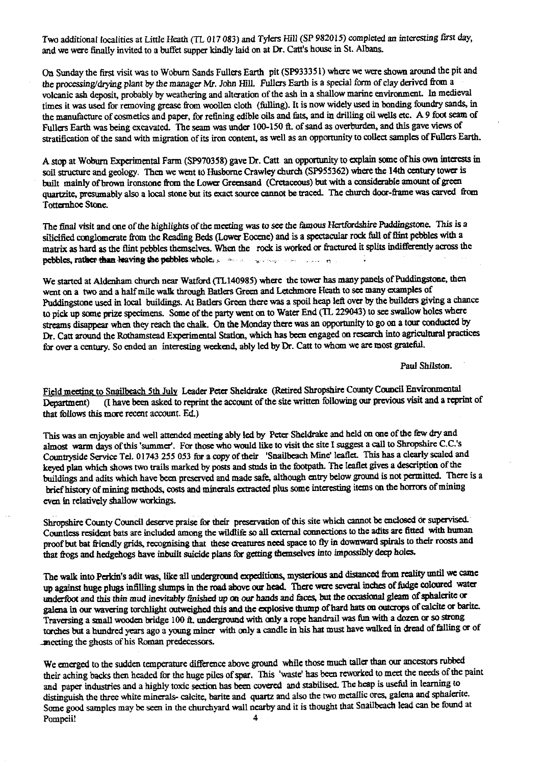Two additional localities at Little Heath (TL 017 083) and Tylers Hill (SP 982015) completed an interesting first day, and we were finally invited to a buffet supper kindly laid on at Dr. Catt's house in St. Albans.

On Sunday the first visit was to Woburn Sands Fullers Earth pit (SP93335 1) where we were shown around the pit and the processing/drying plant by the manager Mr. John Hill. Fullers Earth is a special form of clay derived from a volcanic ash deposit, probably by weathering and alteration of the ash in a shallow marine environment. In medieval times it was used for removing grease from woollen cloth (fulling). It is now widely used in bonding foundry sands, in the manufacture of cosmetics and paper, for refining edible oils and fats, and in drilling oil wells etc. A 9 foot seam of Fullers Earth was being excavated. The seam was under 100-150 ft. of sand as overburden, and this gave views of stratification of the sand with migration of its iron content, as well as an opportunity to collect samples of Fullers Earth.

A stop at Woburn Experimental Farm (SP970358) gave Dr. Catt an opportunity to explain some of his own interests in soil structure and geology. Then we went to Husborne Crawley church (SP955362) where the 14th century tower is built mainly of brown ironstone from the Lower Greensand (Cretaceous) but with a considerable amount of green quartzite, presumably also a local stone but its exact source cannot be traced. The church door-frame was carved from Totternhoe Stone.

The final visit and one of the highlights of the meeting was to see the famous Hertfordshire Puddingstone. This is a silicified conglomerate from the Reading Beds (Lower Eocene) and is a spectacular rock full of flint pebbles with a matrix as hard as the flint pebbles themselves. When the rock is worked or fractured it splits indifferently across the pebbles, rather than leaving the pebbles whole; so the second second control

We started at Aldenham church near Watford (TL140985) where the tower has many panels of Puddingstone, then went on a two and a half mile walk through Batlers Green and Letchmore Heath to see many examples of Puddingstone used in local buildings. At Batlers Green there was a spoil heap left over by the builders giving a chance to pick up some prize specimens. Some of the party went on to Water End (TL 229043) to see swallow holes where streams disappear when they reach the chalk. On the Monday there was an opportunity to go on a tour conducted by Dr. Catt around the Rothamstead Experimental Station, which has been engaged on research into agricultural practices for over a century. So ended an interesting weekend, ably led by Dr. Catt to whom we are most grateful.

Paul Shilston.

Field meeting to Snailbeach 5th July Leader Peter Sheldrake (Retired Shropshire County Council Environmental Department) (I have been asked to reprint the account of the site written following our previous visit and a reprint of that follows this more recent account. Ed.)

This was an enjoyable and well attended meeting ably led by Peter Sheldrake and held on one of the few dry and almost warm days of this 'summer'. For those who would like to visit the site I suggest a call to Shropshire C.C.'s Countryside Service Tel. 01743 255 053 for a copy of their 'Snailbeach Mine' leaflet. This has a clearly scaled and keyed plan which shows two trails marked by posts and studs in the footpath. The leaflet gives a description of the buildings and adits which have been preserved and made safe, although entry below ground is not permitted. There is a brief history of mining methods, costs and minerals extracted plus some interesting items an the horrors of mining even in relatively shallow workings.

Shropshire County Council deserve praise for their preservation of this site which cannot be enclosed or supervised. Countless resident bats are included among the wildlife so all external connections to the adits are fitted with human proof but bat friendly grids, recognising that these creatures need space to fly in downward spirals to their roosts and that frogs and hedgehogs have inbuilt suicide plans for getting themselves into impossibly deep holes.

The walk into Perkin's adit was, like all underground expeditions, mysterious and distanced from reality until we came up against huge plugs infiiling slumps in the road above our head. There were several inches of fudge Coloured water underfoot and this thin mud inevitably finished up an our hands and faces but the occasional gleam of sphalerite or galena in our wavering torchlight outweighed this and the explosive thump of hard hats on outcrops of calcite or barite. Traversing a small wooden bridge 100 &. underground with only a rope handrail was fun with a dozen or so strong torches but a hundred years ago a young miner with only a candle in his hat must have walked in dread of falling or of -meeting the ghosts of his Roman predecessors.

We emerged to the sudden temperature difference above ground while those much taller than our ancestors rubbed their aching backs then headed for the huge piles of spar. This 'waste' has been reworked to meet the needs of the paint and paper industries and a highly toxic section has been covered and stabilised. The heap is useful in learning to distinguish the three white minerals- calcite, barite and quartz and also the two metallic ores, galena and sphalerite. Some good samples may be seen in the churchyard wall nearby and it is thought that Snailbeach lead can be found at Pompeii!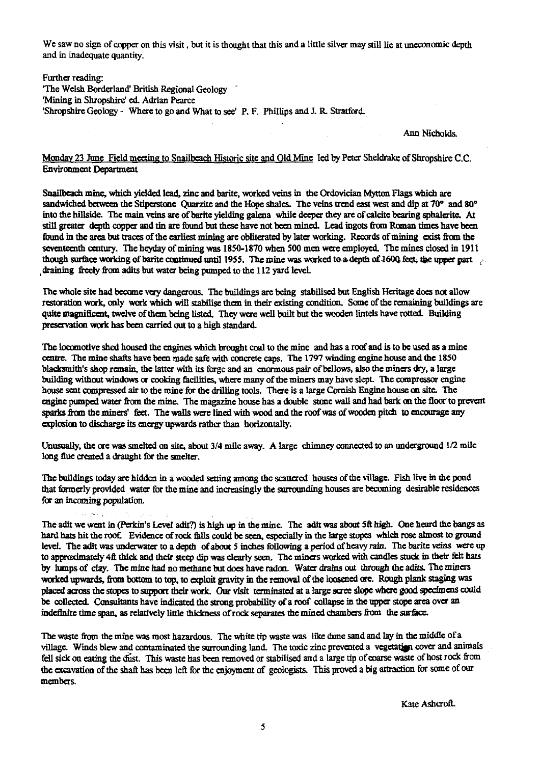We saw no sign of copper on this visit, but it is thought that this and a little silver may still lie at uneconomic depth and in inadequate quantity.

Further reading: 'The Welsh Borderland' British Regional Geology `Mining in Shropshire' ed. Adrian Pearce 'Shropshire Geology - Where to go and What to see' P. F. Phillips and 1. R Stratford.

#### Ann Nicholds.

#### Monday 23 June Field meeting to Snailbeach Historic site and Old Mine led by Peter Sheldrake of Shropshire C.C. Environment Department

Snailbeach mine, which yielded lead, zinc and barite, worked veins in the Ordovician Mytton Flags which are sandwiched between the Stiperstone Quarzite and the Hope shales. The veins trend east west and dip at 70° and 80° into the hillside. The main veins are of barite yielding galena while deeper they arc of calcite bearing sphalerite. At still greater depth copper and tin arc found but these have not been mined. **Lead ingots from Roman times have been found in the area but** traces of the earliest mining are obliterated by later working. Records of mining exist from the seventeenth century. The heyday of mining was 1850-1870 when 500 men were employed. The mines closed in 1911 though surface working of barite continued until 1955. The mine was worked to a depth of 1600 feet, the upper part draining freely from adits but water being pumped to the 112 yard level.

The whole site had become very dangerous. The buildings are being stabilised but English Heritage does not allow restoration work, only work which will stabilise them in their existing condition. Some of the remaining buildings are quite magnificent, twelve of them being listed. They were well built but the wooden lintels have rotted. Building preservation work has been carried out to a high standard.

The locomotive shed housed the engines which brought coal to *the* mine and has a roof and is to be used as a mine centre. The mine shafts have been made safe with concrete caps. The 1797 winding engine house and the 1850 blacksmith's shop remain, the latter with its forge and an enormous pair of bellows, also the miners dry, a Large building without windows or cooking facilities, where many of the miners may have slept. The compressor engine house sent compressed air to the mine for the drilling tools. There is a large Cornish Engine house *on site. The* engine pumped water from the mine. The magazine house has a double stone wall and had bark on the floor to prevent who<br>illin<br>2.in<br>1ed sparks from the miners' feet. The walls were lined with wood and the roof was of wooden pitch to encourage any explosion to discharge its energy upwards rather than horizontally.

Unusually, the ore was smelted on site, about 3/4 mile away. A large chimney connected to an underground  $1/2$  mile long flue created a draught for the smelter.

The buildings today are hidden in a wooded setting among the scattered houses of the village. Fish live in the pond that formerly provided water for the mine and increasingly the surrounding houses are becoming desirable residences for an incoming population.

أأندل المنهور البلوارة

 $\sim 10^{-11}$  k

The adit we went in (Perkin's Level adit?) is high up in the mine. The adit was about 5ft high. One heard the bangs as hard hats hit the roof Evidence of rock falls could be seen, especially in the large scopes which rose almost to ground level. The adit was underwater to a depth of about 5 inches following a period of heavy rain. The barite veins were up to approximately 4ft thick and their steep dip was clearly seen. The miners worked with candles stuck in their felt hats by lumps of clay. The mine had no methane but does have radon. Water drains out through the adits. The miners worked upwards, from bottom to top, to exploit gravity in the removal of the loosened ore. Rough plank staging was placed across the stopes to support their work. Our visit terminated at a large scree slope where good specimens could be collected. Consultants have indicated the strong probability of a roof collapse in the upper stope area over an indefinite time span, as relatively little thickness of rock separates the mined chambers from the **sorfac**

*The* waste from the mine was most hazardous. The white tip waste was like dime sand and lay *in the* middle of a village. Winds blew and contaminated the surrounding land. The toxic zinc prevented a vegetation cover and animals fell sick on eating the dust. This waste has been removed or stabilised and a large tip of coarse waste of host rock from the excavation of the shaft has been left for the enjoyment of geologists. This proved a big attraction for some of our members.